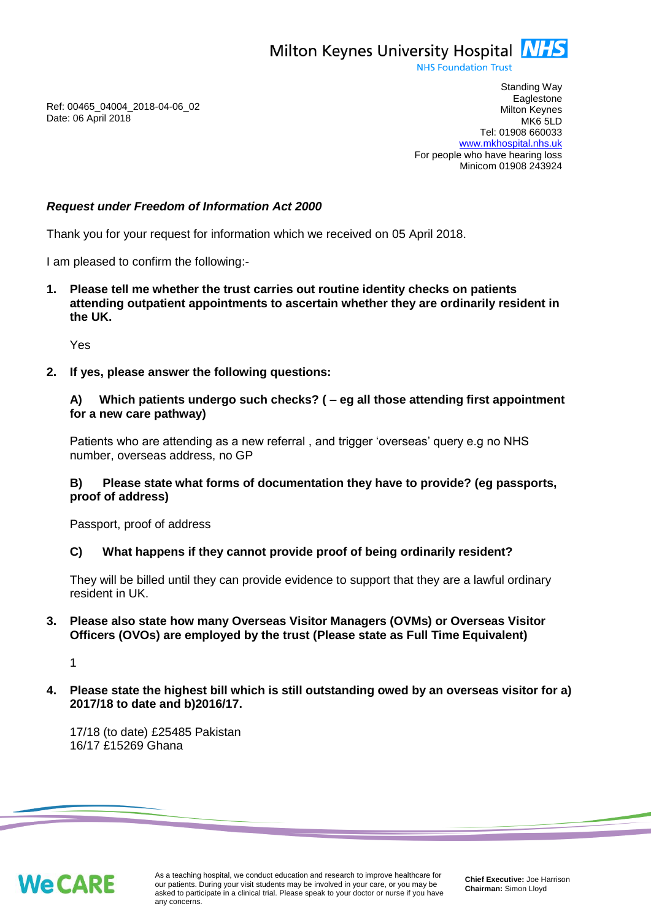Milton Keynes University Hospital **NHS** 

**NHS Foundation Trust** 

Ref: 00465\_04004\_2018-04-06\_02 Date: 06 April 2018

Standing Way **Eaglestone** Milton Keynes MK6 5LD Tel: 01908 660033 [www.mkhospital.nhs.uk](http://www.mkhospital.nhs.uk/) For people who have hearing loss Minicom 01908 243924

# *Request under Freedom of Information Act 2000*

Thank you for your request for information which we received on 05 April 2018.

I am pleased to confirm the following:-

**1. Please tell me whether the trust carries out routine identity checks on patients attending outpatient appointments to ascertain whether they are ordinarily resident in the UK.** 

Yes

**2. If yes, please answer the following questions:**

## **A) Which patients undergo such checks? ( – eg all those attending first appointment for a new care pathway)**

Patients who are attending as a new referral , and trigger 'overseas' query e.g no NHS number, overseas address, no GP

### **B) Please state what forms of documentation they have to provide? (eg passports, proof of address)**

Passport, proof of address

#### **C) What happens if they cannot provide proof of being ordinarily resident?**

They will be billed until they can provide evidence to support that they are a lawful ordinary resident in UK.

# **3. Please also state how many Overseas Visitor Managers (OVMs) or Overseas Visitor Officers (OVOs) are employed by the trust (Please state as Full Time Equivalent)**

1

**4. Please state the highest bill which is still outstanding owed by an overseas visitor for a) 2017/18 to date and b)2016/17.**

17/18 (to date) £25485 Pakistan 16/17 £15269 Ghana